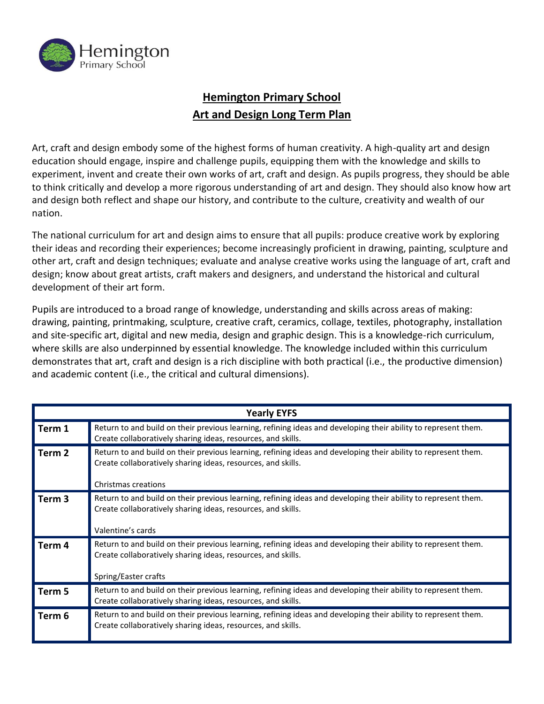

## **Hemington Primary School Art and Design Long Term Plan**

Art, craft and design embody some of the highest forms of human creativity. A high-quality art and design education should engage, inspire and challenge pupils, equipping them with the knowledge and skills to experiment, invent and create their own works of art, craft and design. As pupils progress, they should be able to think critically and develop a more rigorous understanding of art and design. They should also know how art and design both reflect and shape our history, and contribute to the culture, creativity and wealth of our nation.

The national curriculum for art and design aims to ensure that all pupils: produce creative work by exploring their ideas and recording their experiences; become increasingly proficient in drawing, painting, sculpture and other art, craft and design techniques; evaluate and analyse creative works using the language of art, craft and design; know about great artists, craft makers and designers, and understand the historical and cultural development of their art form.

Pupils are introduced to a broad range of knowledge, understanding and skills across areas of making: drawing, painting, printmaking, sculpture, creative craft, ceramics, collage, textiles, photography, installation and site-specific art, digital and new media, design and graphic design. This is a knowledge-rich curriculum, where skills are also underpinned by essential knowledge. The knowledge included within this curriculum demonstrates that art, craft and design is a rich discipline with both practical (i.e., the productive dimension) and academic content (i.e., the critical and cultural dimensions).

| <b>Yearly EYFS</b> |                                                                                                                                                                                                        |  |  |
|--------------------|--------------------------------------------------------------------------------------------------------------------------------------------------------------------------------------------------------|--|--|
| Term 1             | Return to and build on their previous learning, refining ideas and developing their ability to represent them.<br>Create collaboratively sharing ideas, resources, and skills.                         |  |  |
| Term <sub>2</sub>  | Return to and build on their previous learning, refining ideas and developing their ability to represent them.<br>Create collaboratively sharing ideas, resources, and skills.<br>Christmas creations  |  |  |
| Term <sub>3</sub>  | Return to and build on their previous learning, refining ideas and developing their ability to represent them.<br>Create collaboratively sharing ideas, resources, and skills.<br>Valentine's cards    |  |  |
| Term 4             | Return to and build on their previous learning, refining ideas and developing their ability to represent them.<br>Create collaboratively sharing ideas, resources, and skills.<br>Spring/Easter crafts |  |  |
| Term 5             | Return to and build on their previous learning, refining ideas and developing their ability to represent them.<br>Create collaboratively sharing ideas, resources, and skills.                         |  |  |
| Term 6             | Return to and build on their previous learning, refining ideas and developing their ability to represent them.<br>Create collaboratively sharing ideas, resources, and skills.                         |  |  |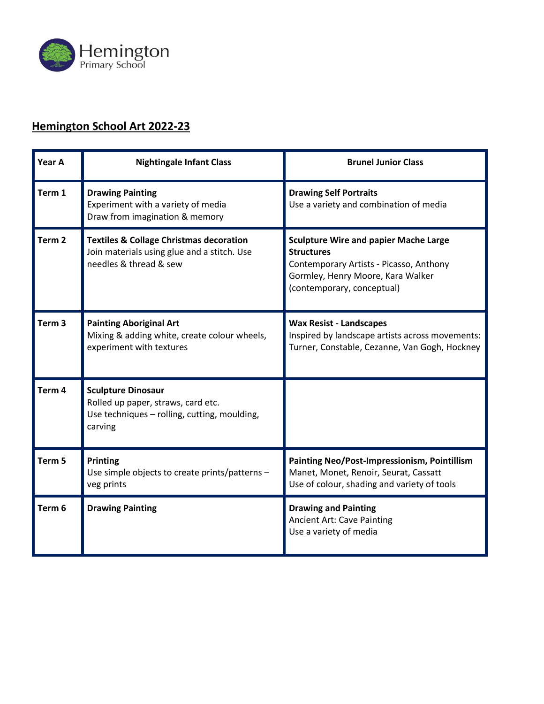

#### **Hemington School Art 2022-23**

| Year A            | <b>Nightingale Infant Class</b>                                                                                             | <b>Brunel Junior Class</b>                                                                                                                                                      |
|-------------------|-----------------------------------------------------------------------------------------------------------------------------|---------------------------------------------------------------------------------------------------------------------------------------------------------------------------------|
| Term 1            | <b>Drawing Painting</b><br>Experiment with a variety of media<br>Draw from imagination & memory                             | <b>Drawing Self Portraits</b><br>Use a variety and combination of media                                                                                                         |
| Term <sub>2</sub> | <b>Textiles &amp; Collage Christmas decoration</b><br>Join materials using glue and a stitch. Use<br>needles & thread & sew | <b>Sculpture Wire and papier Mache Large</b><br><b>Structures</b><br>Contemporary Artists - Picasso, Anthony<br>Gormley, Henry Moore, Kara Walker<br>(contemporary, conceptual) |
| Term <sub>3</sub> | <b>Painting Aboriginal Art</b><br>Mixing & adding white, create colour wheels,<br>experiment with textures                  | <b>Wax Resist - Landscapes</b><br>Inspired by landscape artists across movements:<br>Turner, Constable, Cezanne, Van Gogh, Hockney                                              |
| Term <sub>4</sub> | <b>Sculpture Dinosaur</b><br>Rolled up paper, straws, card etc.<br>Use techniques - rolling, cutting, moulding,<br>carving  |                                                                                                                                                                                 |
| Term <sub>5</sub> | Printing<br>Use simple objects to create prints/patterns -<br>veg prints                                                    | Painting Neo/Post-Impressionism, Pointillism<br>Manet, Monet, Renoir, Seurat, Cassatt<br>Use of colour, shading and variety of tools                                            |
| Term <sub>6</sub> | <b>Drawing Painting</b>                                                                                                     | <b>Drawing and Painting</b><br><b>Ancient Art: Cave Painting</b><br>Use a variety of media                                                                                      |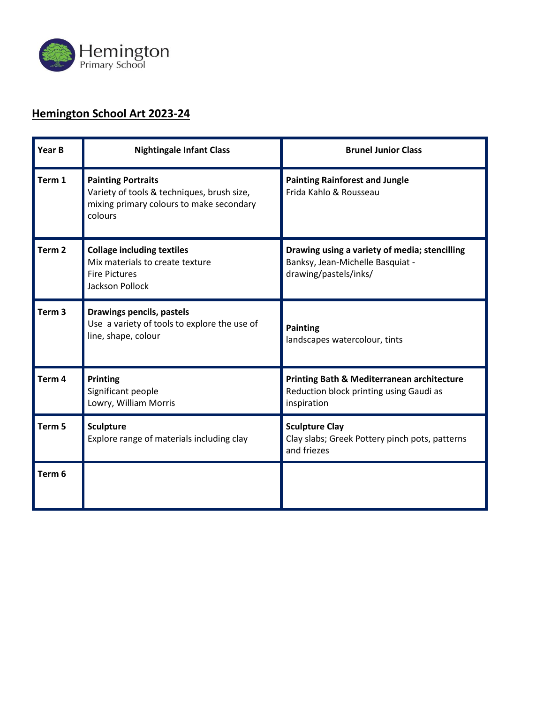

# **Hemington School Art 2023-24**

| Year B            | <b>Nightingale Infant Class</b>                                                                                                | <b>Brunel Junior Class</b>                                                                                 |
|-------------------|--------------------------------------------------------------------------------------------------------------------------------|------------------------------------------------------------------------------------------------------------|
| Term 1            | <b>Painting Portraits</b><br>Variety of tools & techniques, brush size,<br>mixing primary colours to make secondary<br>colours | <b>Painting Rainforest and Jungle</b><br>Frida Kahlo & Rousseau                                            |
| Term <sub>2</sub> | <b>Collage including textiles</b><br>Mix materials to create texture<br><b>Fire Pictures</b><br><b>Jackson Pollock</b>         | Drawing using a variety of media; stencilling<br>Banksy, Jean-Michelle Basquiat -<br>drawing/pastels/inks/ |
| Term <sub>3</sub> | Drawings pencils, pastels<br>Use a variety of tools to explore the use of<br>line, shape, colour                               | <b>Painting</b><br>landscapes watercolour, tints                                                           |
| Term 4            | <b>Printing</b><br>Significant people<br>Lowry, William Morris                                                                 | Printing Bath & Mediterranean architecture<br>Reduction block printing using Gaudi as<br>inspiration       |
| Term <sub>5</sub> | <b>Sculpture</b><br>Explore range of materials including clay                                                                  | <b>Sculpture Clay</b><br>Clay slabs; Greek Pottery pinch pots, patterns<br>and friezes                     |
| Term <sub>6</sub> |                                                                                                                                |                                                                                                            |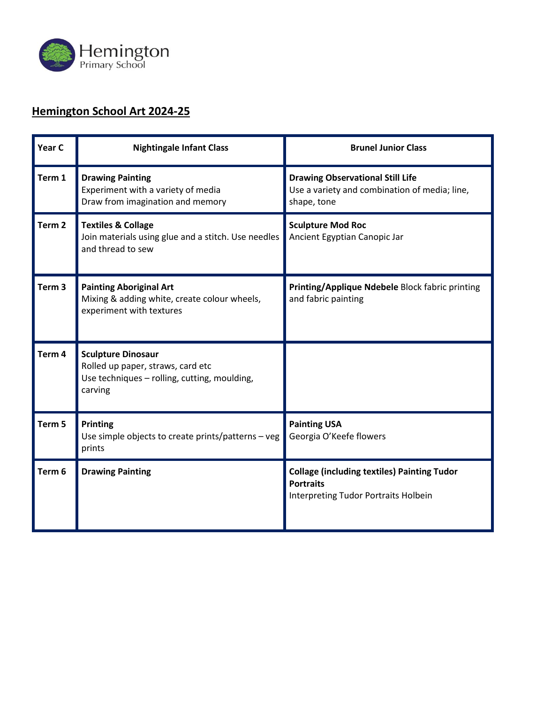

## **Hemington School Art 2024-25**

| Year C            | <b>Nightingale Infant Class</b>                                                                                           | <b>Brunel Junior Class</b>                                                                                            |
|-------------------|---------------------------------------------------------------------------------------------------------------------------|-----------------------------------------------------------------------------------------------------------------------|
| Term 1            | <b>Drawing Painting</b><br>Experiment with a variety of media<br>Draw from imagination and memory                         | <b>Drawing Observational Still Life</b><br>Use a variety and combination of media; line,<br>shape, tone               |
| Term <sub>2</sub> | <b>Textiles &amp; Collage</b><br>Join materials using glue and a stitch. Use needles<br>and thread to sew                 | <b>Sculpture Mod Roc</b><br>Ancient Egyptian Canopic Jar                                                              |
| Term <sub>3</sub> | <b>Painting Aboriginal Art</b><br>Mixing & adding white, create colour wheels,<br>experiment with textures                | Printing/Applique Ndebele Block fabric printing<br>and fabric painting                                                |
| Term <sub>4</sub> | <b>Sculpture Dinosaur</b><br>Rolled up paper, straws, card etc<br>Use techniques - rolling, cutting, moulding,<br>carving |                                                                                                                       |
| Term <sub>5</sub> | Printing<br>Use simple objects to create prints/patterns - veg<br>prints                                                  | <b>Painting USA</b><br>Georgia O'Keefe flowers                                                                        |
| Term 6            | <b>Drawing Painting</b>                                                                                                   | <b>Collage (including textiles) Painting Tudor</b><br><b>Portraits</b><br><b>Interpreting Tudor Portraits Holbein</b> |